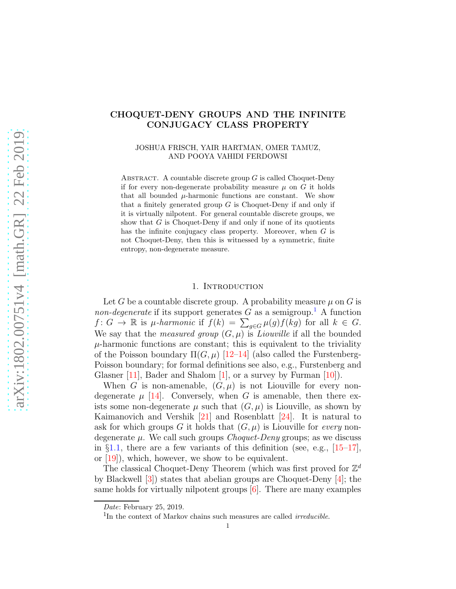# CHOQUET-DENY GROUPS AND THE INFINITE CONJUGACY CLASS PROPERTY

## JOSHUA FRISCH, YAIR HARTMAN, OMER TAMUZ, AND POOYA VAHIDI FERDOWSI

ABSTRACT. A countable discrete group  $G$  is called Choquet-Deny if for every non-degenerate probability measure  $\mu$  on G it holds that all bounded  $\mu$ -harmonic functions are constant. We show that a finitely generated group  $G$  is Choquet-Deny if and only if it is virtually nilpotent. For general countable discrete groups, we show that  $G$  is Choquet-Deny if and only if none of its quotients has the infinite conjugacy class property. Moreover, when G is not Choquet-Deny, then this is witnessed by a symmetric, finite entropy, non-degenerate measure.

## 1. INTRODUCTION

Let G be a countable discrete group. A probability measure  $\mu$  on G is *non-degenerate* if its support generates  $G$  as a semigroup.<sup>[1](#page-0-0)</sup> A function  $f: G \to \mathbb{R}$  is *µ*-harmonic if  $f(k) = \sum_{g \in G} \mu(g) f(kg)$  for all  $k \in G$ . We say that the *measured group*  $(G, \mu)$  is *Liouville* if all the bounded  $\mu$ -harmonic functions are constant; this is equivalent to the triviality of the Poisson boundary  $\Pi(G,\mu)$  [\[12–](#page-12-0)[14\]](#page-12-1) (also called the Furstenberg-Poisson boundary; for formal definitions see also, e.g., Furstenberg and Glasner [\[11\]](#page-12-2), Bader and Shalom  $[1]$ , or a survey by Furman  $[10]$ ).

When G is non-amenable,  $(G, \mu)$  is not Liouville for every nondegenerate  $\mu$  [\[14\]](#page-12-1). Conversely, when G is amenable, then there exists some non-degenerate  $\mu$  such that  $(G, \mu)$  is Liouville, as shown by Kaimanovich and Vershik [\[21\]](#page-12-5) and Rosenblatt [\[24\]](#page-13-0). It is natural to ask for which groups G it holds that  $(G, \mu)$  is Liouville for *every* nondegenerate  $\mu$ . We call such groups *Choquet-Deny* groups; as we discuss in  $\S1.1$ , there are a few variants of this definition (see, e.g., [\[15](#page-12-6)[–17\]](#page-12-7), or [\[19\]](#page-12-8)), which, however, we show to be equivalent.

The classical Choquet-Deny Theorem (which was first proved for  $\mathbb{Z}^d$ by Blackwell [\[3\]](#page-12-9)) states that abelian groups are Choquet-Deny [\[4\]](#page-12-10); the same holds for virtually nilpotent groups [\[6\]](#page-12-11). There are many examples

Date: February 25, 2019.

<span id="page-0-0"></span> $1$ In the context of Markov chains such measures are called *irreducible*.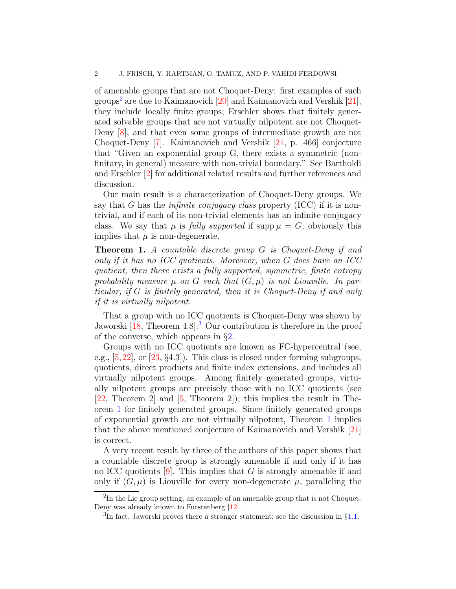of amenable groups that are not Choquet-Deny: first examples of such groups<sup>[2](#page-1-0)</sup> are due to Kaimanovich  $[20]$  and Kaimanovich and Vershik  $[21]$ , they include locally finite groups; Erschler shows that finitely generated solvable groups that are not virtually nilpotent are not Choquet-Deny [\[8\]](#page-12-13), and that even some groups of intermediate growth are not Choquet-Deny [\[7\]](#page-12-14). Kaimanovich and Vershik [\[21,](#page-12-5) p. 466] conjecture that "Given an exponential group G, there exists a symmetric (nonfinitary, in general) measure with non-trivial boundary." See Bartholdi and Erschler [\[2\]](#page-12-15) for additional related results and further references and discussion.

Our main result is a characterization of Choquet-Deny groups. We say that G has the *infinite conjugacy class* property (ICC) if it is nontrivial, and if each of its non-trivial elements has an infinite conjugacy class. We say that  $\mu$  is *fully supported* if supp  $\mu = G$ ; obviously this implies that  $\mu$  is non-degenerate.

<span id="page-1-2"></span>Theorem 1. *A countable discrete group* G *is Choquet-Deny if and only if it has no ICC quotients. Moreover, when* G *does have an ICC quotient, then there exists a fully supported, symmetric, finite entropy* probability measure  $\mu$  on G such that  $(G, \mu)$  is not Liouville. In par*ticular, if* G *is finitely generated, then it is Choquet-Deny if and only if it is virtually nilpotent.*

That a group with no ICC quotients is Choquet-Deny was shown by Jaworski [\[18,](#page-12-16) Theorem 4.8].<sup>[3](#page-1-1)</sup> Our contribution is therefore in the proof of the converse, which appears in §[2.](#page-2-1)

Groups with no ICC quotients are known as FC-hypercentral (see, e.g.,  $[5,22]$  $[5,22]$ , or  $[23, §4.3]$ . This class is closed under forming subgroups, quotients, direct products and finite index extensions, and includes all virtually nilpotent groups. Among finitely generated groups, virtually nilpotent groups are precisely those with no ICC quotients (see [\[22,](#page-13-1) Theorem 2] and [\[5,](#page-12-17) Theorem 2]); this implies the result in Theorem [1](#page-1-2) for finitely generated groups. Since finitely generated groups of exponential growth are not virtually nilpotent, Theorem [1](#page-1-2) implies that the above mentioned conjecture of Kaimanovich and Vershik [\[21\]](#page-12-5) is correct.

A very recent result by three of the authors of this paper shows that a countable discrete group is strongly amenable if and only if it has no ICC quotients  $[9]$ . This implies that G is strongly amenable if and only if  $(G, \mu)$  is Liouville for every non-degenerate  $\mu$ , paralleling the

 ${}^{2}$ In the Lie group setting, an example of an amenable group that is not Choquet-Deny was already known to Furstenberg [\[12\]](#page-12-0).

<span id="page-1-1"></span><span id="page-1-0"></span><sup>&</sup>lt;sup>3</sup>In fact, Jaworski proves there a stronger statement; see the discussion in §[1.1.](#page-2-0)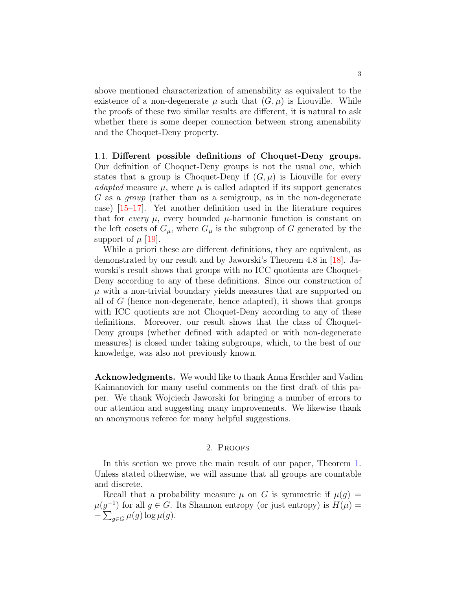above mentioned characterization of amenability as equivalent to the existence of a non-degenerate  $\mu$  such that  $(G, \mu)$  is Liouville. While the proofs of these two similar results are different, it is natural to ask whether there is some deeper connection between strong amenability and the Choquet-Deny property.

<span id="page-2-0"></span>1.1. Different possible definitions of Choquet-Deny groups. Our definition of Choquet-Deny groups is not the usual one, which states that a group is Choquet-Deny if  $(G, \mu)$  is Liouville for every *adapted* measure  $\mu$ , where  $\mu$  is called adapted if its support generates G as a *group* (rather than as a semigroup, as in the non-degenerate case) [\[15](#page-12-6)[–17\]](#page-12-7). Yet another definition used in the literature requires that for *every*  $\mu$ , every bounded  $\mu$ -harmonic function is constant on the left cosets of  $G_{\mu}$ , where  $G_{\mu}$  is the subgroup of G generated by the support of  $\mu$  [\[19\]](#page-12-8).

While a priori these are different definitions, they are equivalent, as demonstrated by our result and by Jaworski's Theorem 4.8 in [\[18\]](#page-12-16). Jaworski's result shows that groups with no ICC quotients are Choquet-Deny according to any of these definitions. Since our construction of  $\mu$  with a non-trivial boundary yields measures that are supported on all of  $G$  (hence non-degenerate, hence adapted), it shows that groups with ICC quotients are not Choquet-Deny according to any of these definitions. Moreover, our result shows that the class of Choquet-Deny groups (whether defined with adapted or with non-degenerate measures) is closed under taking subgroups, which, to the best of our knowledge, was also not previously known.

Acknowledgments. We would like to thank Anna Erschler and Vadim Kaimanovich for many useful comments on the first draft of this paper. We thank Wojciech Jaworski for bringing a number of errors to our attention and suggesting many improvements. We likewise thank an anonymous referee for many helpful suggestions.

## 2. Proofs

<span id="page-2-1"></span>In this section we prove the main result of our paper, Theorem [1.](#page-1-2) Unless stated otherwise, we will assume that all groups are countable and discrete.

Recall that a probability measure  $\mu$  on G is symmetric if  $\mu(g)$  =  $\mu(g^{-1})$  for all  $g \in G$ . Its Shannon entropy (or just entropy) is  $H(\mu) =$  $-\sum_{g\in G}\mu(g)\log\mu(g).$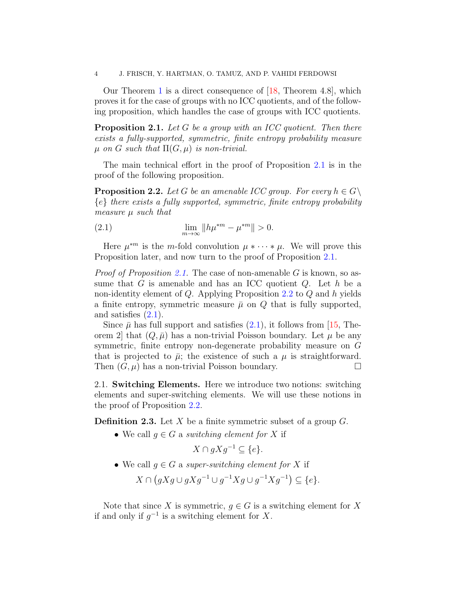4 J. FRISCH, Y. HARTMAN, O. TAMUZ, AND P. VAHIDI FERDOWSI

Our Theorem [1](#page-1-2) is a direct consequence of [\[18,](#page-12-16) Theorem 4.8], which proves it for the case of groups with no ICC quotients, and of the following proposition, which handles the case of groups with ICC quotients.

<span id="page-3-0"></span>Proposition 2.1. *Let* G *be a group with an ICC quotient. Then there exists a fully-supported, symmetric, finite entropy probability measure*  $\mu$  *on G such that*  $\Pi(G, \mu)$  *is non-trivial.* 

The main technical effort in the proof of Proposition [2.1](#page-3-0) is in the proof of the following proposition.

<span id="page-3-1"></span>**Proposition 2.2.** *Let* G *be an amenable ICC group. For every*  $h \in G \setminus$ {e} *there exists a fully supported, symmetric, finite entropy probability measure* µ *such that*

<span id="page-3-2"></span>(2.1) 
$$
\lim_{m \to \infty} \|h\mu^{*m} - \mu^{*m}\| > 0.
$$

Here  $\mu^{*m}$  is the *m*-fold convolution  $\mu * \cdots * \mu$ . We will prove this Proposition later, and now turn to the proof of Proposition [2.1.](#page-3-0)

*Proof of Proposition [2.1.](#page-3-0)* The case of non-amenable G is known, so assume that G is amenable and has an ICC quotient  $Q$ . Let h be a non-identity element of  $Q$ . Applying Proposition [2.2](#page-3-1) to  $Q$  and h yields a finite entropy, symmetric measure  $\bar{\mu}$  on  $Q$  that is fully supported, and satisfies  $(2.1)$ .

Since  $\bar{\mu}$  has full support and satisfies [\(2.1\)](#page-3-2), it follows from [\[15,](#page-12-6) Theorem 2 that  $(Q, \bar{\mu})$  has a non-trivial Poisson boundary. Let  $\mu$  be any symmetric, finite entropy non-degenerate probability measure on G that is projected to  $\bar{\mu}$ ; the existence of such a  $\mu$  is straightforward. Then  $(G, \mu)$  has a non-trivial Poisson boundary.

2.1. Switching Elements. Here we introduce two notions: switching elements and super-switching elements. We will use these notions in the proof of Proposition [2.2.](#page-3-1)

**Definition 2.3.** Let X be a finite symmetric subset of a group  $G$ .

• We call  $q \in G$  a *switching element for* X if

$$
X \cap gXg^{-1} \subseteq \{e\}.
$$

• We call  $q \in G$  a *super-switching element for* X if

 $X \cap (gXg \cup gXg^{-1} \cup g^{-1}Xg \cup g^{-1}Xg^{-1}) \subseteq \{e\}.$ 

Note that since X is symmetric,  $g \in G$  is a switching element for X if and only if  $g^{-1}$  is a switching element for X.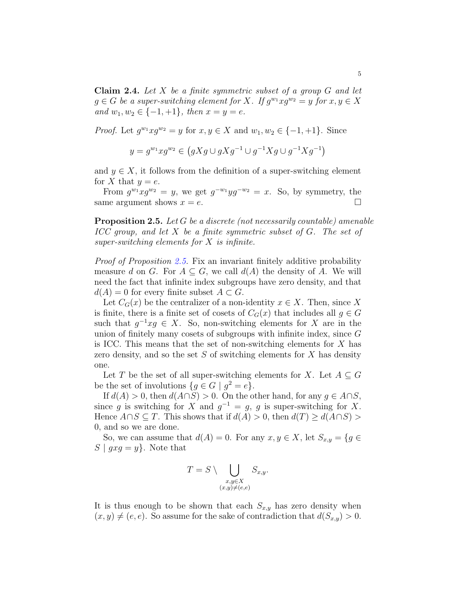<span id="page-4-1"></span>Claim 2.4. *Let* X *be a finite symmetric subset of a group* G *and let*  $g \in G$  *be a super-switching element for* X. If  $g^{w_1} x g^{w_2} = y$  for  $x, y \in X$ *and*  $w_1, w_2 \in \{-1, +1\}$ *, then*  $x = y = e$ *.* 

*Proof.* Let  $g^{w_1} x g^{w_2} = y$  for  $x, y \in X$  and  $w_1, w_2 \in \{-1, +1\}$ . Since

$$
y = g^{w_1} x g^{w_2} \in (gXg \cup gXg^{-1} \cup g^{-1}Xg \cup g^{-1}Xg^{-1})
$$

and  $y \in X$ , it follows from the definition of a super-switching element for X that  $y = e$ .

From  $g^{w_1}xg^{w_2} = y$ , we get  $g^{-w_1}yg^{-w_2} = x$ . So, by symmetry, the same argument shows  $x = e$ .

<span id="page-4-0"></span>Proposition 2.5. *Let* G *be a discrete (not necessarily countable) amenable ICC group, and let* X *be a finite symmetric subset of* G*. The set of super-switching elements for* X *is infinite.*

*Proof of Proposition [2.5.](#page-4-0)* Fix an invariant finitely additive probability measure d on G. For  $A \subseteq G$ , we call  $d(A)$  the density of A. We will need the fact that infinite index subgroups have zero density, and that  $d(A) = 0$  for every finite subset  $A \subset G$ .

Let  $C_G(x)$  be the centralizer of a non-identity  $x \in X$ . Then, since X is finite, there is a finite set of cosets of  $C_G(x)$  that includes all  $g \in G$ such that  $g^{-1}xg \in X$ . So, non-switching elements for X are in the union of finitely many cosets of subgroups with infinite index, since  $G$ is ICC. This means that the set of non-switching elements for  $X$  has zero density, and so the set  $S$  of switching elements for  $X$  has density one.

Let T be the set of all super-switching elements for X. Let  $A \subseteq G$ be the set of involutions  $\{g \in G \mid g^2 = e\}.$ 

If  $d(A) > 0$ , then  $d(A \cap S) > 0$ . On the other hand, for any  $g \in A \cap S$ , since g is switching for X and  $g^{-1} = g$ , g is super-switching for X. Hence  $A \cap S \subseteq T$ . This shows that if  $d(A) > 0$ , then  $d(T) \geq d(A \cap S)$ 0, and so we are done.

So, we can assume that  $d(A) = 0$ . For any  $x, y \in X$ , let  $S_{x,y} = \{g \in$  $S | g x g = y$ . Note that

$$
T = S \setminus \bigcup_{\substack{x,y \in X \\ (x,y) \neq (e,e)}} S_{x,y}.
$$

It is thus enough to be shown that each  $S_{x,y}$  has zero density when  $(x, y) \neq (e, e)$ . So assume for the sake of contradiction that  $d(S_{x,y}) > 0$ .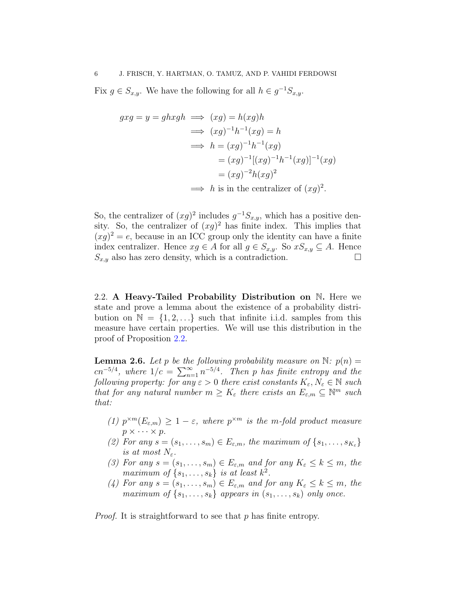Fix  $g \in S_{x,y}$ . We have the following for all  $h \in g^{-1}S_{x,y}$ .

$$
g x g = y = gh xgh \implies (xg) = h(xg)h
$$
  
\n
$$
\implies (xg)^{-1}h^{-1}(xg) = h
$$
  
\n
$$
\implies h = (xg)^{-1}h^{-1}(xg)
$$
  
\n
$$
= (xg)^{-1}[(xg)^{-1}h^{-1}(xg)]^{-1}(xg)
$$
  
\n
$$
= (xg)^{-2}h(xg)^2
$$
  
\n
$$
\implies h \text{ is in the centralizer of } (xg)^2.
$$

So, the centralizer of  $(xg)^2$  includes  $g^{-1}S_{x,y}$ , which has a positive density. So, the centralizer of  $(xg)^2$  has finite index. This implies that  $(xg)^2 = e$ , because in an ICC group only the identity can have a finite index centralizer. Hence  $xg \in A$  for all  $g \in S_{x,y}$ . So  $xS_{x,y} \subseteq A$ . Hence  $S_{x,y}$  also has zero density, which is a contradiction.

2.2. A Heavy-Tailed Probability Distribution on N. Here we state and prove a lemma about the existence of a probability distribution on  $\mathbb{N} = \{1, 2, \ldots\}$  such that infinite i.i.d. samples from this measure have certain properties. We will use this distribution in the proof of Proposition [2.2.](#page-3-1)

<span id="page-5-0"></span>**Lemma 2.6.** Let p be the following probability measure on  $\mathbb{N}$ :  $p(n) =$  $cn^{-5/4}$ , where  $1/c = \sum_{n=1}^{\infty} n^{-5/4}$ . Then p has finite entropy and the *following property: for any*  $\varepsilon > 0$  *there exist constants*  $K_{\varepsilon}, N_{\varepsilon} \in \mathbb{N}$  *such that for any natural number*  $m \geq K_{\varepsilon}$  *there exists an*  $E_{\varepsilon,m} \subseteq \mathbb{N}^m$  *such that:*

- *(1)*  $p^{\times m}(E_{\varepsilon,m}) \geq 1 \varepsilon$ , where  $p^{\times m}$  is the m-fold product measure  $p \times \cdots \times p$ .
- (2) For any  $s = (s_1, \ldots, s_m) \in E_{\varepsilon,m}$ , the maximum of  $\{s_1, \ldots, s_{K_{\varepsilon}}\}$ *is at most*  $N_{\varepsilon}$ *.*
- *(3) For any*  $s = (s_1, \ldots, s_m) \in E_{\varepsilon,m}$  *and for any*  $K_{\varepsilon} \leq k \leq m$ , the *maximum of*  $\{s_1, \ldots, s_k\}$  *is at least*  $k^2$ .
- *(4) For any*  $s = (s_1, \ldots, s_m) \in E_{\varepsilon,m}$  *and for any*  $K_{\varepsilon} \leq k \leq m$ , *the maximum of*  $\{s_1, \ldots, s_k\}$  *appears in*  $(s_1, \ldots, s_k)$  *only once.*

*Proof.* It is straightforward to see that p has finite entropy.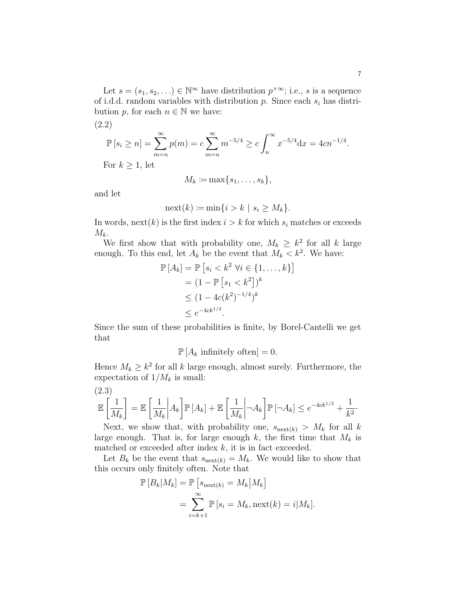Let  $s = (s_1, s_2, \ldots) \in \mathbb{N}^{\infty}$  have distribution  $p^{\times \infty}$ ; i.e., s is a sequence of i.d.d. random variables with distribution p. Since each  $s_i$  has distribution p, for each  $n \in \mathbb{N}$  we have:

<span id="page-6-0"></span>(2.2)

$$
\mathbb{P}[s_i \ge n] = \sum_{m=n}^{\infty} p(m) = c \sum_{m=n}^{\infty} m^{-5/4} \ge c \int_n^{\infty} x^{-5/4} dx = 4cn^{-1/4}.
$$

For  $k \geq 1$ , let

$$
M_k \coloneqq \max\{s_1, \ldots, s_k\},\
$$

and let

$$
\operatorname{next}(k) \coloneqq \min\{i > k \mid s_i \ge M_k\}.
$$

In words, next(k) is the first index  $i > k$  for which  $s_i$  matches or exceeds  $M_k$ .

We first show that with probability one,  $M_k \geq k^2$  for all k large enough. To this end, let  $A_k$  be the event that  $M_k < k^2$ . We have:

$$
\mathbb{P}[A_k] = \mathbb{P}[s_i < k^2 \; \forall i \in \{1, \dots, k\}]
$$
\n
$$
= (1 - \mathbb{P}[s_1 < k^2])^k
$$
\n
$$
\leq (1 - 4c(k^2)^{-1/4})^k
$$
\n
$$
\leq e^{-4ck^{1/2}}.
$$

Since the sum of these probabilities is finite, by Borel-Cantelli we get that

 $\mathbb{P}[A_k \text{ infinitely often}] = 0.$ 

Hence  $M_k \geq k^2$  for all k large enough, almost surely. Furthermore, the expectation of  $1/M_k$  is small:

<span id="page-6-1"></span>
$$
\mathbb{E}\left[\frac{1}{M_k}\right] = \mathbb{E}\left[\frac{1}{M_k}\middle|A_k\right] \mathbb{P}\left[A_k\right] + \mathbb{E}\left[\frac{1}{M_k}\middle| \neg A_k\right] \mathbb{P}\left[\neg A_k\right] \le e^{-4ck^{1/2}} + \frac{1}{k^2}.
$$

Next, we show that, with probability one,  $s_{\text{next}(k)} > M_k$  for all k large enough. That is, for large enough k, the first time that  $M_k$  is matched or exceeded after index  $k$ , it is in fact exceeded.

Let  $B_k$  be the event that  $s_{\text{next}(k)} = M_k$ . We would like to show that this occurs only finitely often. Note that

$$
\mathbb{P}[B_k|M_k] = \mathbb{P}\left[s_{\text{next}(k)} = M_k|M_k\right]
$$
  
= 
$$
\sum_{i=k+1}^{\infty} \mathbb{P}\left[s_i = M_k, \text{next}(k) = i|M_k\right].
$$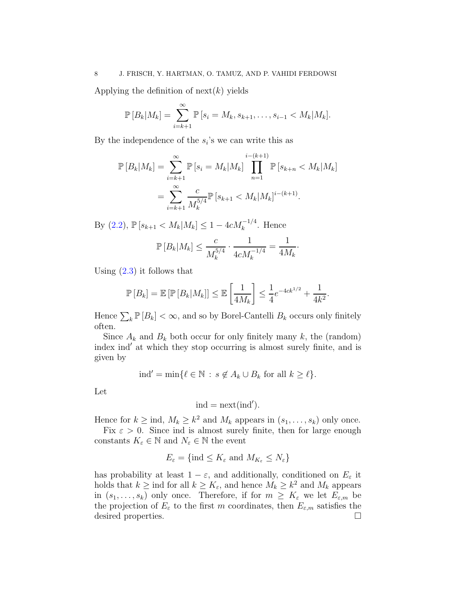Applying the definition of  $next(k)$  yields

$$
\mathbb{P}[B_k|M_k] = \sum_{i=k+1}^{\infty} \mathbb{P}[s_i = M_k, s_{k+1}, \dots, s_{i-1} < M_k|M_k].
$$

By the independence of the  $s_i$ 's we can write this as

$$
\mathbb{P}[B_k|M_k] = \sum_{i=k+1}^{\infty} \mathbb{P}[s_i = M_k|M_k] \prod_{n=1}^{i-(k+1)} \mathbb{P}[s_{k+n} < M_k|M_k]
$$
\n
$$
= \sum_{i=k+1}^{\infty} \frac{c}{M_k^{5/4}} \mathbb{P}[s_{k+1} < M_k|M_k]^{i-(k+1)}.
$$

By  $(2.2)$ ,  $\mathbb{P}[s_{k+1} < M_k | M_k] \leq 1 - 4c M_k^{-1/4}$ . Hence

$$
\mathbb{P}\left[B_k|M_k\right] \le \frac{c}{M_k^{5/4}} \cdot \frac{1}{4cM_k^{-1/4}} = \frac{1}{4M_k}.
$$

Using  $(2.3)$  it follows that

$$
\mathbb{P}\left[B_k\right] = \mathbb{E}\left[\mathbb{P}\left[B_k|M_k\right]\right] \leq \mathbb{E}\left[\frac{1}{4M_k}\right] \leq \frac{1}{4}e^{-4ck^{1/2}} + \frac{1}{4k^2}.
$$

Hence  $\sum_k \mathbb{P}[B_k] < \infty$ , and so by Borel-Cantelli  $B_k$  occurs only finitely often.

Since  $A_k$  and  $B_k$  both occur for only finitely many k, the (random) index ind′ at which they stop occurring is almost surely finite, and is given by

$$
\text{ind}' = \min \{ \ell \in \mathbb{N} \, : \, s \notin A_k \cup B_k \text{ for all } k \geq \ell \}.
$$

Let

$$
ind = \operatorname{next}(ind').
$$

Hence for  $k \geq \text{ind}, M_k \geq k^2$  and  $M_k$  appears in  $(s_1, \ldots, s_k)$  only once.

Fix  $\varepsilon > 0$ . Since ind is almost surely finite, then for large enough constants  $K_{\varepsilon} \in \mathbb{N}$  and  $N_{\varepsilon} \in \mathbb{N}$  the event

$$
E_{\varepsilon} = \{\text{ind} \le K_{\varepsilon} \text{ and } M_{K_{\varepsilon}} \le N_{\varepsilon}\}\
$$

has probability at least  $1 - \varepsilon$ , and additionally, conditioned on  $E_{\varepsilon}$  it holds that  $k \geq \text{ind}$  for all  $k \geq K_{\varepsilon}$ , and hence  $M_k \geq k^2$  and  $M_k$  appears in  $(s_1, \ldots, s_k)$  only once. Therefore, if for  $m \geq K_{\varepsilon}$  we let  $E_{\varepsilon,m}$  be the projection of  $E_{\varepsilon}$  to the first m coordinates, then  $E_{\varepsilon,m}$  satisfies the desired properties.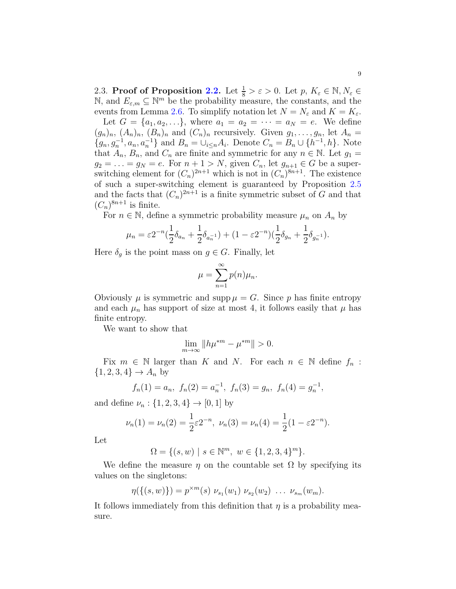2.3. Proof of Proposition [2.2.](#page-3-1) Let  $\frac{1}{8} > \varepsilon > 0$ . Let  $p, K_{\varepsilon} \in \mathbb{N}, N_{\varepsilon} \in$  $\mathbb{N}$ , and  $E_{\varepsilon,m} \subseteq \mathbb{N}^m$  be the probability measure, the constants, and the events from Lemma [2.6.](#page-5-0) To simplify notation let  $N = N_{\varepsilon}$  and  $K = K_{\varepsilon}$ .

Let  $G = \{a_1, a_2, ...\}$ , where  $a_1 = a_2 = \cdots = a_N = e$ . We define  $(g_n)_n$ ,  $(A_n)_n$ ,  $(B_n)_n$  and  $(C_n)_n$  recursively. Given  $g_1, \ldots, g_n$ , let  $A_n =$  ${g_n, g_n^{-1}, a_n, a_n^{-1}}$  and  $B_n = \bigcup_{i \le n} A_i$ . Denote  $C_n = B_n \cup \{h^{-1}, h\}$ . Note that  $A_n$ ,  $B_n$ , and  $C_n$  are finite and symmetric for any  $n \in \mathbb{N}$ . Let  $g_1 =$  $g_2 = \ldots = g_N = e$ . For  $n + 1 > N$ , given  $C_n$ , let  $g_{n+1} \in G$  be a superswitching element for  $(C_n)^{2n+1}$  which is not in  $(C_n)^{8n+1}$ . The existence of such a super-switching element is guaranteed by Proposition [2.5](#page-4-0) and the facts that  $(C_n)^{2n+1}$  is a finite symmetric subset of G and that  $(C_n)^{8n+1}$  is finite.

For  $n \in \mathbb{N}$ , define a symmetric probability measure  $\mu_n$  on  $A_n$  by

$$
\mu_n = \varepsilon 2^{-n} \left( \frac{1}{2} \delta_{a_n} + \frac{1}{2} \delta_{a_n^{-1}} \right) + (1 - \varepsilon 2^{-n}) \left( \frac{1}{2} \delta_{g_n} + \frac{1}{2} \delta_{g_n^{-1}} \right).
$$

Here  $\delta_g$  is the point mass on  $g \in G$ . Finally, let

$$
\mu = \sum_{n=1}^{\infty} p(n)\mu_n.
$$

Obviously  $\mu$  is symmetric and supp  $\mu = G$ . Since p has finite entropy and each  $\mu_n$  has support of size at most 4, it follows easily that  $\mu$  has finite entropy.

We want to show that

$$
\lim_{m \to \infty} \|h\mu^{*m} - \mu^{*m}\| > 0.
$$

Fix  $m \in \mathbb{N}$  larger than K and N. For each  $n \in \mathbb{N}$  define  $f_n$ :  $\{1, 2, 3, 4\} \to A_n$  by

$$
f_n(1) = a_n
$$
,  $f_n(2) = a_n^{-1}$ ,  $f_n(3) = g_n$ ,  $f_n(4) = g_n^{-1}$ ,

and define  $\nu_n : \{1, 2, 3, 4\} \to [0, 1]$  by

$$
\nu_n(1) = \nu_n(2) = \frac{1}{2}\varepsilon 2^{-n}, \ \nu_n(3) = \nu_n(4) = \frac{1}{2}(1 - \varepsilon 2^{-n}).
$$

Let

$$
\Omega = \{ (s, w) \mid s \in \mathbb{N}^m, \ w \in \{1, 2, 3, 4\}^m \}.
$$

We define the measure  $\eta$  on the countable set  $\Omega$  by specifying its values on the singletons:

$$
\eta(\{(s,w)\}) = p^{\times m}(s) \nu_{s_1}(w_1) \nu_{s_2}(w_2) \ldots \nu_{s_m}(w_m).
$$

It follows immediately from this definition that  $\eta$  is a probability measure.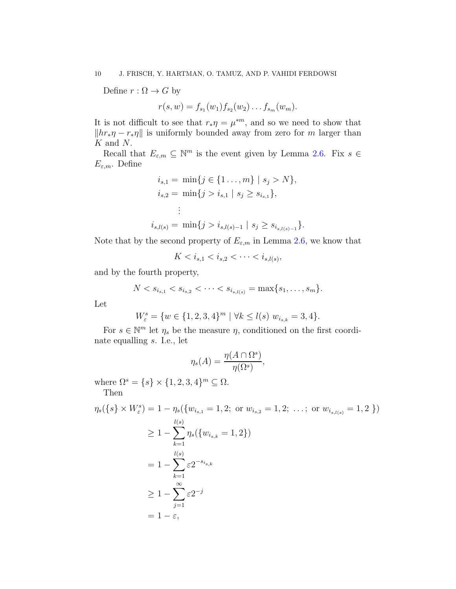Define  $r : \Omega \to G$  by

 $r(s, w) = f_{s_1}(w_1) f_{s_2}(w_2) \dots f_{s_m}(w_m).$ 

It is not difficult to see that  $r_*\eta = \mu^{*m}$ , and so we need to show that  $||hr_*\eta - r_*\eta||$  is uniformly bounded away from zero for m larger than K and N.

Recall that  $E_{\varepsilon,m} \subseteq \mathbb{N}^m$  is the event given by Lemma [2.6.](#page-5-0) Fix  $s \in$  $E_{\varepsilon,m}$ . Define

$$
i_{s,1} = \min\{j \in \{1 \dots, m\} \mid s_j > N\},
$$
  
\n
$$
i_{s,2} = \min\{j > i_{s,1} \mid s_j \ge s_{i_{s,1}}\},
$$
  
\n
$$
\vdots
$$
  
\n
$$
i_{s,l(s)} = \min\{j > i_{s,l(s)-1} \mid s_j \ge s_{i_{s,l(s)-1}}\}.
$$

Note that by the second property of  $E_{\varepsilon,m}$  in Lemma [2.6,](#page-5-0) we know that

$$
K < i_{s,1} < i_{s,2} < \cdots < i_{s,l(s)},
$$

and by the fourth property,

$$
N < s_{i_{s,1}} < s_{i_{s,2}} < \cdots < s_{i_{s,l(s)}} = \max\{s_1, \ldots, s_m\}.
$$

Let

$$
W_{\varepsilon}^{s} = \{ w \in \{1, 2, 3, 4\}^{m} \mid \forall k \leq l(s) \ w_{i_{s,k}} = 3, 4 \}.
$$

For  $s \in \mathbb{N}^m$  let  $\eta_s$  be the measure  $\eta$ , conditioned on the first coordinate equalling s. I.e., let

$$
\eta_s(A) = \frac{\eta(A \cap \Omega^s)}{\eta(\Omega^s)},
$$

where  $\Omega^s = \{s\} \times \{1, 2, 3, 4\}^m \subseteq \Omega$ . Then

$$
\eta_s(\{s\} \times W^s_{\varepsilon}) = 1 - \eta_s(\{w_{i_{s,1}} = 1, 2; \text{ or } w_{i_{s,2}} = 1, 2; \dots; \text{ or } w_{i_{s,l(s)}} = 1, 2\})
$$
  
\n
$$
\geq 1 - \sum_{k=1}^{l(s)} \eta_s(\{w_{i_{s,k}} = 1, 2\})
$$
  
\n
$$
= 1 - \sum_{k=1}^{l(s)} \varepsilon 2^{-s_{i_{s,k}}}
$$
  
\n
$$
\geq 1 - \sum_{j=1}^{\infty} \varepsilon 2^{-j}
$$
  
\n
$$
= 1 - \varepsilon,
$$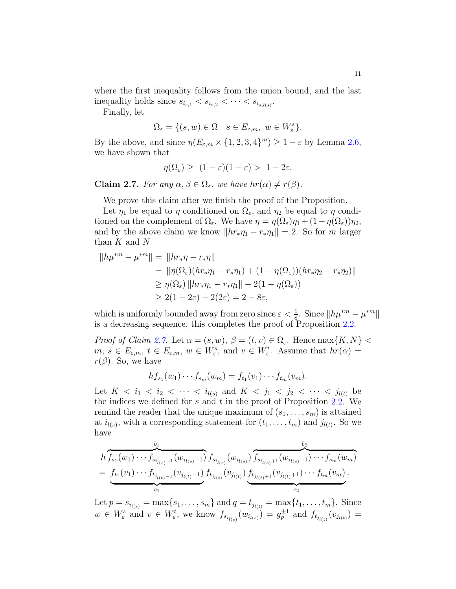where the first inequality follows from the union bound, and the last inequality holds since  $s_{i_{s,1}} < s_{i_{s,2}} < \cdots < s_{i_{s,l(s)}}$ .

Finally, let

$$
\Omega_{\varepsilon} = \{ (s, w) \in \Omega \mid s \in E_{\varepsilon,m}, \ w \in W_{\varepsilon}^s \}.
$$

By the above, and since  $\eta(E_{\varepsilon,m} \times \{1,2,3,4\}^m) \geq 1 - \varepsilon$  by Lemma [2.6,](#page-5-0) we have shown that

$$
\eta(\Omega_{\varepsilon}) \ge (1-\varepsilon)(1-\varepsilon) > 1-2\varepsilon.
$$

<span id="page-10-0"></span>**Claim 2.7.** *For any*  $\alpha, \beta \in \Omega_{\epsilon}$ , we have  $hr(\alpha) \neq r(\beta)$ .

We prove this claim after we finish the proof of the Proposition.

Let  $\eta_1$  be equal to  $\eta$  conditioned on  $\Omega_{\varepsilon}$ , and  $\eta_2$  be equal to  $\eta$  conditioned on the complement of  $\Omega_{\varepsilon}$ . We have  $\eta = \eta(\Omega_{\varepsilon})\eta_1 + (1 - \eta(\Omega_{\varepsilon}))\eta_2$ , and by the above claim we know  $||hr_*\eta_1 - r_*\eta_1|| = 2$ . So for m larger than  $K$  and  $N$ 

$$
||h\mu^{*m} - \mu^{*m}|| = ||hr_*\eta - r_*\eta||
$$
  
=  $||\eta(\Omega_{\varepsilon})(hr_*\eta_1 - r_*\eta_1) + (1 - \eta(\Omega_{\varepsilon}))(hr_*\eta_2 - r_*\eta_2)||$   
 $\geq \eta(\Omega_{\varepsilon}) ||hr_*\eta_1 - r_*\eta_1|| - 2(1 - \eta(\Omega_{\varepsilon}))$   
 $\geq 2(1 - 2\varepsilon) - 2(2\varepsilon) = 2 - 8\varepsilon,$ 

which is uniformly bounded away from zero since  $\varepsilon < \frac{1}{8}$ . Since  $||h\mu^{*m} - \mu^{*m}||$ is a decreasing sequence, this completes the proof of Proposition [2.2.](#page-3-1)

*Proof of Claim [2.7.](#page-10-0)* Let  $\alpha = (s, w)$ ,  $\beta = (t, v) \in \Omega_{\epsilon}$ . Hence  $\max\{K, N\}$  $m, s \in E_{\varepsilon,m}, t \in E_{\varepsilon,m}, w \in W_{\varepsilon}^s$ , and  $v \in W_{\varepsilon}^t$ . Assume that  $hr(\alpha) =$  $r(\beta)$ . So, we have

$$
hf_{s_1}(w_1)\cdots f_{s_m}(w_m) = f_{t_1}(v_1)\cdots f_{t_m}(v_m).
$$

Let  $K < i_1 < i_2 < \cdots < i_{l(s)}$  and  $K < j_1 < j_2 < \cdots < j_{l(t)}$  be the indices we defined for s and t in the proof of Proposition  $2.2$ . We remind the reader that the unique maximum of  $(s_1, \ldots, s_m)$  is attained at  $i_{l(s)}$ , with a corresponding statement for  $(t_1, \ldots, t_m)$  and  $j_{l(t)}$ . So we have

$$
h \overbrace{f_{s_1}(w_1) \cdots f_{s_{i_{l(s)}-1}}(w_{i_{l(s)}-1})}^{b_1} f_{s_{i_{l(s)}}}(w_{i_{l(s)}}) \overbrace{f_{s_{i_{l(s)}+1}}(w_{i_{l(s)}+1}) \cdots f_{s_m}(w_m)}^{b_2}
$$
  
= 
$$
\underbrace{f_{t_1}(v_1) \cdots f_{t_{j_{l(t)}-1}}(v_{j_{l(t)}-1})}_{c_1} f_{t_{j_{l(t)}}}(v_{j_{l(t)}}) \underbrace{f_{t_{j_{l(t)}+1}}(v_{j_{l(t)}+1}) \cdots f_{t_m}(v_m)}_{c_2}.
$$

Let  $p = s_{i_{l(s)}} = \max\{s_1, \ldots, s_m\}$  and  $q = t_{j_{l(t)}} = \max\{t_1, \ldots, t_m\}$ . Since  $w \in W_{\varepsilon}^s$  and  $v \in W_{\varepsilon}^t$ , we know  $f_{s_{i_{l(s)}}}(w_{i_{l(s)}}) = g_{p}^{\pm 1}$  and  $f_{t_{j_{l(t)}}}(v_{j_{l(t)}}) =$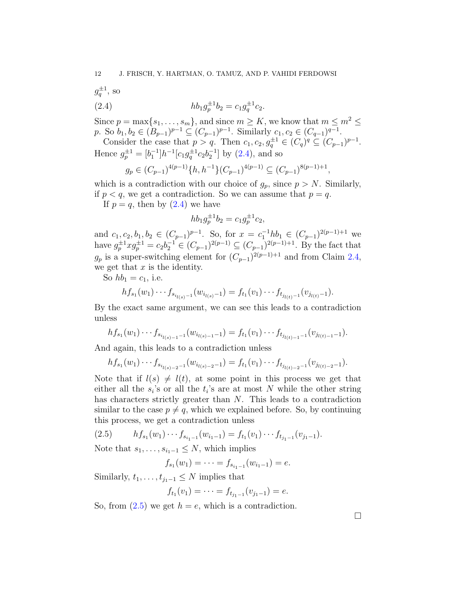<span id="page-11-0"></span>
$$
g_q^{\pm 1}
$$
, so  
(2.4)  $hb_1g_p^{\pm 1}b_2 = c_1g_q^{\pm 1}c_2$ .

Since  $p = \max\{s_1, \ldots, s_m\}$ , and since  $m \geq K$ , we know that  $m \leq m^2 \leq$ p. So  $b_1, b_2 \in (B_{p-1})^{p-1} \subseteq (C_{p-1})^{p-1}$ . Similarly  $c_1, c_2 \in (C_{q-1})^{q-1}$ .

Consider the case that  $p > q$ . Then  $c_1, c_2, g_q^{\pm 1} \in (C_q)^q \subseteq (C_{p-1})^{p-1}$ . Hence  $g_p^{\pm 1} = [b_1^{-1}]h^{-1}[c_1g_q^{\pm 1}c_2b_2^{-1}]$  by [\(2.4\)](#page-11-0), and so

$$
g_p \in (C_{p-1})^{4(p-1)} \{h, h^{-1}\}(C_{p-1})^{4(p-1)} \subseteq (C_{p-1})^{8(p-1)+1},
$$

which is a contradiction with our choice of  $g_p$ , since  $p > N$ . Similarly, if  $p < q$ , we get a contradiction. So we can assume that  $p = q$ .

If  $p = q$ , then by  $(2.4)$  we have

$$
hb_1g_p^{\pm 1}b_2 = c_1g_p^{\pm 1}c_2,
$$

and  $c_1, c_2, b_1, b_2 \in (C_{p-1})^{p-1}$ . So, for  $x = c_1^{-1}hb_1 \in (C_{p-1})^{2(p-1)+1}$  we have  $g_p^{\pm 1} x g_p^{\pm 1} = c_2 b_2^{-1} \in (C_{p-1})^{2(p-1)} \subseteq (C_{p-1})^{2(p-1)+1}$ . By the fact that  $g_p$  is a super-switching element for  $(C_{p-1})^{2(p-1)+1}$  and from Claim [2.4,](#page-4-1) we get that  $x$  is the identity.

So  $hb_1 = c_1$ , i.e.

$$
h f_{s_1}(w_1) \cdots f_{s_{i_{l(s)}-1}}(w_{i_{l(s)}-1}) = f_{t_1}(v_1) \cdots f_{t_{j_{l(t)}-1}}(v_{j_{l(t)}-1}).
$$

By the exact same argument, we can see this leads to a contradiction unless

$$
h f_{s_1}(w_1) \cdots f_{s_{i_{l(s)-1}-1}}(w_{i_{l(s)-1}-1}) = f_{t_1}(v_1) \cdots f_{t_{j_{l(t)-1}-1}}(v_{j_{l(t)-1}-1}).
$$

And again, this leads to a contradiction unless

$$
h f_{s_1}(w_1) \cdots f_{s_{i_{l(s)-2}-1}}(w_{i_{l(s)-2}-1}) = f_{t_1}(v_1) \cdots f_{t_{j_{l(t)-2}-1}}(v_{j_{l(t)-2}-1}).
$$

Note that if  $l(s) \neq l(t)$ , at some point in this process we get that either all the  $s_i$ 's or all the  $t_i$ 's are at most N while the other string has characters strictly greater than N. This leads to a contradiction similar to the case  $p \neq q$ , which we explained before. So, by continuing this process, we get a contradiction unless

<span id="page-11-1"></span>
$$
(2.5) \t\t\t h f_{s_1}(w_1) \cdots f_{s_{i_1-1}}(w_{i_1-1}) = f_{t_1}(v_1) \cdots f_{t_{j_1-1}}(v_{j_1-1}).
$$

Note that  $s_1, \ldots, s_{i_1-1} \leq N$ , which implies

$$
f_{s_1}(w_1)=\cdots=f_{s_{i_1-1}}(w_{i_1-1})=e.
$$

Similarly,  $t_1, \ldots, t_{i_1-1} \leq N$  implies that

$$
f_{t_1}(v_1)=\cdots=f_{t_{j_1-1}}(v_{j_1-1})=e.
$$

So, from  $(2.5)$  we get  $h = e$ , which is a contradiction.

 $\Box$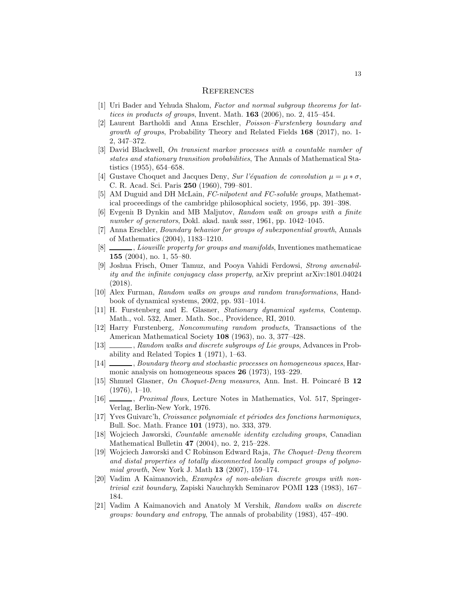#### **REFERENCES**

- <span id="page-12-3"></span>[1] Uri Bader and Yehuda Shalom, Factor and normal subgroup theorems for lattices in products of groups, Invent. Math. 163 (2006), no. 2, 415–454.
- <span id="page-12-15"></span>[2] Laurent Bartholdi and Anna Erschler, Poisson–Furstenberg boundary and growth of groups, Probability Theory and Related Fields 168 (2017), no. 1- 2, 347–372.
- <span id="page-12-9"></span>[3] David Blackwell, On transient markov processes with a countable number of states and stationary transition probabilities, The Annals of Mathematical Statistics (1955), 654–658.
- <span id="page-12-10"></span>[4] Gustave Choquet and Jacques Deny, Sur l'équation de convolution  $\mu = \mu * \sigma$ , C. R. Acad. Sci. Paris 250 (1960), 799–801.
- <span id="page-12-17"></span>[5] AM Duguid and DH McLain, FC-nilpotent and FC-soluble groups, Mathematical proceedings of the cambridge philosophical society, 1956, pp. 391–398.
- <span id="page-12-11"></span>[6] Evgeniı B Dynkin and MB Maljutov, Random walk on groups with a finite number of generators, Dokl. akad. nauk sssr, 1961, pp. 1042–1045.
- <span id="page-12-14"></span>[7] Anna Erschler, Boundary behavior for groups of subexponential growth, Annals of Mathematics (2004), 1183–1210.
- <span id="page-12-13"></span>[8]  $\_\_\_\_\_$ , Liouville property for groups and manifolds, Inventiones mathematicae 155 (2004), no. 1, 55–80.
- <span id="page-12-18"></span>[9] Joshua Frisch, Omer Tamuz, and Pooya Vahidi Ferdowsi, Strong amenability and the infinite conjugacy class property, arXiv preprint arXiv:1801.04024 (2018).
- <span id="page-12-4"></span>[10] Alex Furman, Random walks on groups and random transformations, Handbook of dynamical systems, 2002, pp. 931–1014.
- <span id="page-12-2"></span>[11] H. Furstenberg and E. Glasner, Stationary dynamical systems, Contemp. Math., vol. 532, Amer. Math. Soc., Providence, RI, 2010.
- <span id="page-12-0"></span>[12] Harry Furstenberg, Noncommuting random products, Transactions of the American Mathematical Society 108 (1963), no. 3, 377–428.
- [13]  $\_\_\_\_\$ , Random walks and discrete subgroups of Lie groups, Advances in Probability and Related Topics 1 (1971), 1–63.
- <span id="page-12-1"></span>[14] , Boundary theory and stochastic processes on homogeneous spaces, Harmonic analysis on homogeneous spaces 26 (1973), 193–229.
- <span id="page-12-6"></span>[15] Shmuel Glasner, On Choquet-Deny measures, Ann. Inst. H. Poincaré B 12  $(1976), 1-10.$
- [16]  $\_\_\_\_\_\$ neximal flows, Lecture Notes in Mathematics, Vol. 517, Springer-Verlag, Berlin-New York, 1976.
- <span id="page-12-7"></span>[17] Yves Guivarc'h, Croissance polynomiale et périodes des fonctions harmoniques, Bull. Soc. Math. France 101 (1973), no. 333, 379.
- <span id="page-12-16"></span>[18] Wojciech Jaworski, Countable amenable identity excluding groups, Canadian Mathematical Bulletin 47 (2004), no. 2, 215–228.
- <span id="page-12-8"></span>[19] Wojciech Jaworski and C Robinson Edward Raja, The Choquet–Deny theorem and distal properties of totally disconnected locally compact groups of polynomial growth, New York J. Math 13 (2007), 159–174.
- <span id="page-12-12"></span>[20] Vadim A Kaimanovich, Examples of non-abelian discrete groups with nontrivial exit boundary, Zapiski Nauchnykh Seminarov POMI 123 (1983), 167– 184.
- <span id="page-12-5"></span>[21] Vadim A Kaimanovich and Anatoly M Vershik, Random walks on discrete groups: boundary and entropy, The annals of probability (1983), 457–490.